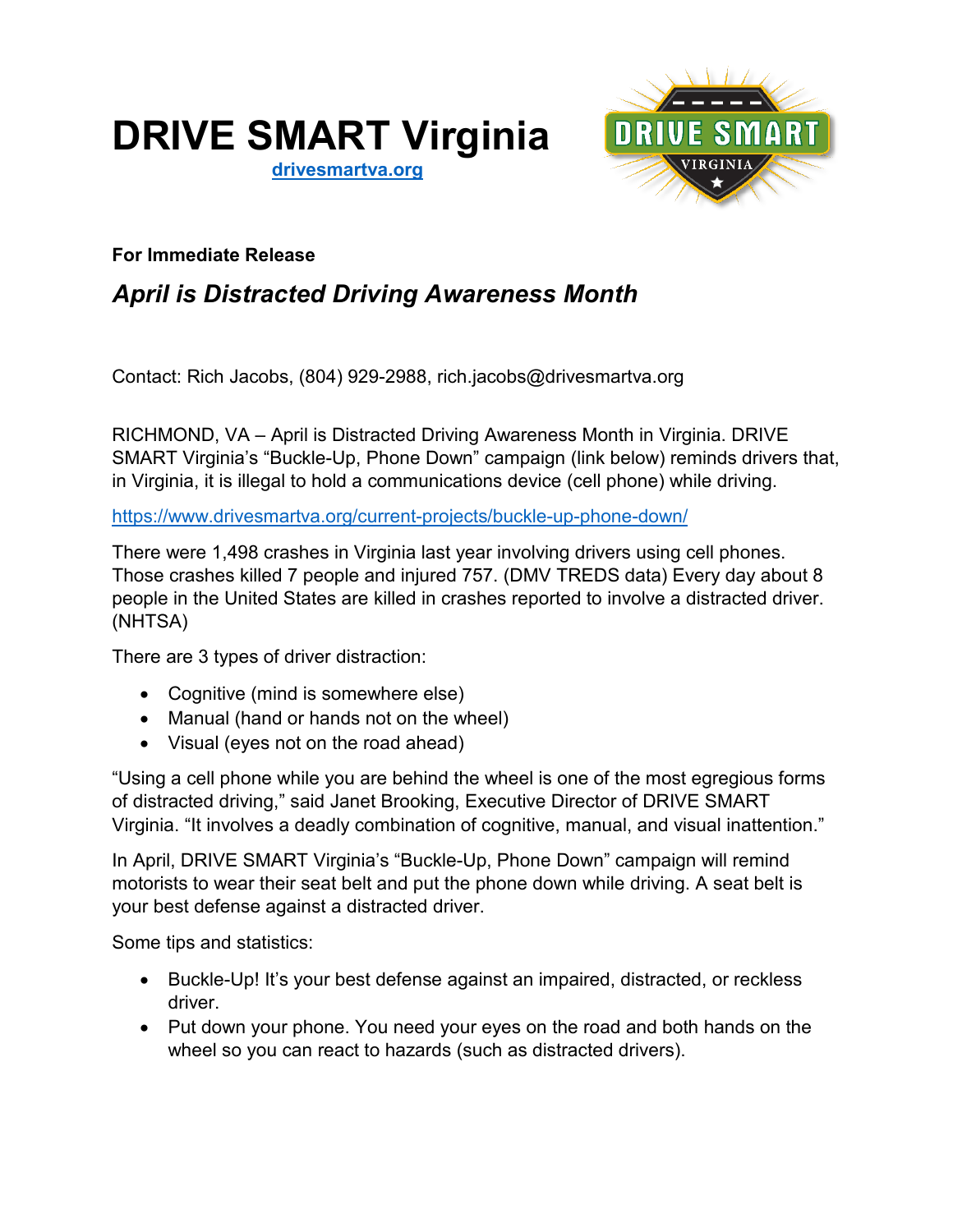# **DRIVE SMART Virginia**

**[drivesmartva.org](http://drivesmartva.org/)**



### **For Immediate Release**

## *April is Distracted Driving Awareness Month*

Contact: Rich Jacobs, (804) 929-2988, rich.jacobs@drivesmartva.org

RICHMOND, VA – April is Distracted Driving Awareness Month in Virginia. DRIVE SMART Virginia's "Buckle-Up, Phone Down" campaign (link below) reminds drivers that, in Virginia, it is illegal to hold a communications device (cell phone) while driving.

<https://www.drivesmartva.org/current-projects/buckle-up-phone-down/>

There were 1,498 crashes in Virginia last year involving drivers using cell phones. Those crashes killed 7 people and injured 757. (DMV TREDS data) Every day about 8 people in the United States are killed in crashes reported to involve a distracted driver. (NHTSA)

There are 3 types of driver distraction:

- Cognitive (mind is somewhere else)
- Manual (hand or hands not on the wheel)
- Visual (eyes not on the road ahead)

"Using a cell phone while you are behind the wheel is one of the most egregious forms of distracted driving," said Janet Brooking, Executive Director of DRIVE SMART Virginia. "It involves a deadly combination of cognitive, manual, and visual inattention."

In April, DRIVE SMART Virginia's "Buckle-Up, Phone Down" campaign will remind motorists to wear their seat belt and put the phone down while driving. A seat belt is your best defense against a distracted driver.

Some tips and statistics:

- Buckle-Up! It's your best defense against an impaired, distracted, or reckless driver.
- Put down your phone. You need your eyes on the road and both hands on the wheel so you can react to hazards (such as distracted drivers).